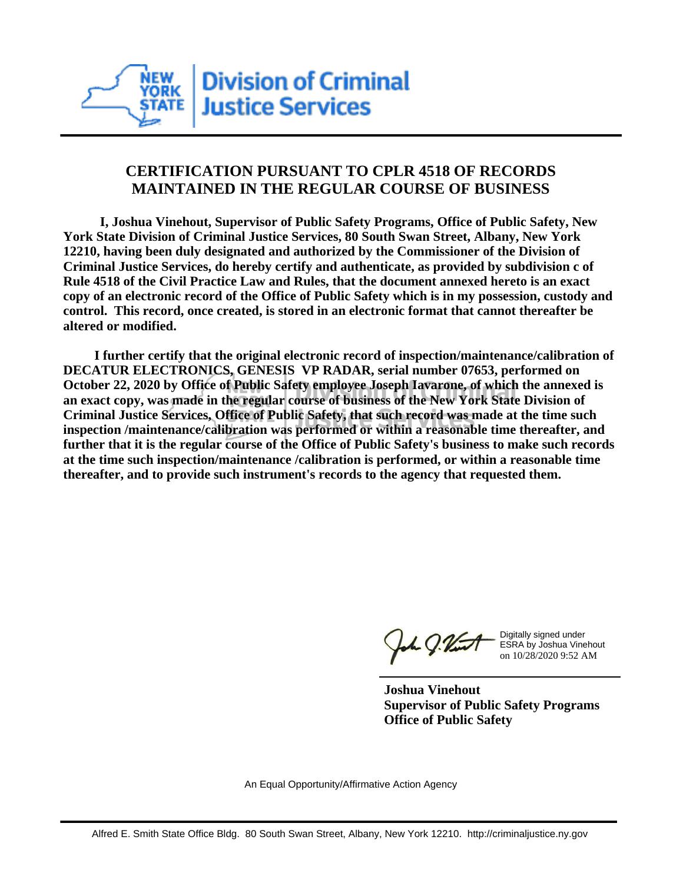

## **CERTIFICATION PURSUANT TO CPLR 4518 OF RECORDS MAINTAINED IN THE REGULAR COURSE OF BUSINESS**

 **I, Joshua Vinehout, Supervisor of Public Safety Programs, Office of Public Safety, New York State Division of Criminal Justice Services, 80 South Swan Street, Albany, New York 12210, having been duly designated and authorized by the Commissioner of the Division of Criminal Justice Services, do hereby certify and authenticate, as provided by subdivision c of Rule 4518 of the Civil Practice Law and Rules, that the document annexed hereto is an exact copy of an electronic record of the Office of Public Safety which is in my possession, custody and control. This record, once created, is stored in an electronic format that cannot thereafter be altered or modified.**

 **I further certify that the original electronic record of inspection/maintenance/calibration of DECATUR ELECTRONICS, GENESIS VP RADAR, serial number 07653, performed on October 22, 2020 by Office of Public Safety employee Joseph Iavarone, of which the annexed is an exact copy, was made in the regular course of business of the New York State Division of Criminal Justice Services, Office of Public Safety, that such record was made at the time such inspection /maintenance/calibration was performed or within a reasonable time thereafter, and further that it is the regular course of the Office of Public Safety's business to make such records at the time such inspection/maintenance /calibration is performed, or within a reasonable time thereafter, and to provide such instrument's records to the agency that requested them.**

h J.Vint

Digitally signed under ESRA by Joshua Vinehout on 10/28/2020 9:52 AM

**Joshua Vinehout Supervisor of Public Safety Programs Office of Public Safety**

An Equal Opportunity/Affirmative Action Agency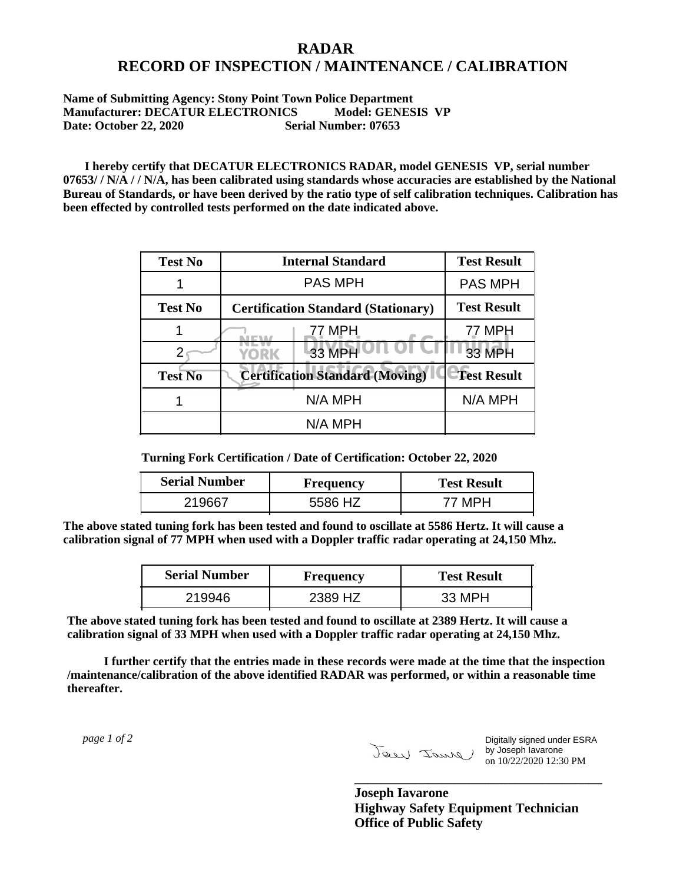## **RADAR RECORD OF INSPECTION / MAINTENANCE / CALIBRATION**

## **Name of Submitting Agency: Stony Point Town Police Department Manufacturer: DECATUR ELECTRONICS** Model: GENESIS VP<br>Date: October 22, 2020 Serial Number: 07653 **Date: October 22, 2020**

 **I hereby certify that DECATUR ELECTRONICS RADAR, model GENESIS VP, serial number 07653/ / N/A / / N/A, has been calibrated using standards whose accuracies are established by the National Bureau of Standards, or have been derived by the ratio type of self calibration techniques. Calibration has been effected by controlled tests performed on the date indicated above.**

| <b>Test No</b> | <b>Internal Standard</b>                   | <b>Test Result</b> |
|----------------|--------------------------------------------|--------------------|
|                | <b>PAS MPH</b>                             | <b>PAS MPH</b>     |
| <b>Test No</b> | <b>Certification Standard (Stationary)</b> | <b>Test Result</b> |
|                | 77 MPH                                     | 77 MPH             |
|                | 33 MPH<br><b>YORK</b>                      | 33 MPH             |
| <b>Test No</b> | <b>Certification Standard (Moving)</b>     | <b>Test Result</b> |
|                | N/A MPH                                    | N/A MPH            |
|                | N/A MPH                                    |                    |

**Turning Fork Certification / Date of Certification: October 22, 2020**

| <b>Serial Number</b> | <b>Frequency</b> | <b>Test Result</b> |
|----------------------|------------------|--------------------|
|                      | <b>47</b>        | 77 MPH             |

**The above stated tuning fork has been tested and found to oscillate at 5586 Hertz. It will cause a calibration signal of 77 MPH when used with a Doppler traffic radar operating at 24,150 Mhz.**

| <b>Serial Number</b> | Frequency | <b>Test Result</b> |
|----------------------|-----------|--------------------|
| 219946               | 2389 HZ   | 33 MPH             |

**The above stated tuning fork has been tested and found to oscillate at 2389 Hertz. It will cause a calibration signal of 33 MPH when used with a Doppler traffic radar operating at 24,150 Mhz.**

 **I further certify that the entries made in these records were made at the time that the inspection /maintenance/calibration of the above identified RADAR was performed, or within a reasonable time thereafter.**

 *page 1 of 2* 

Digitally signed under ESRA by Joseph Iavarone on 10/22/2020 12:30 PM

**Joseph Iavarone Highway Safety Equipment Technician Office of Public Safety**

**\_\_\_\_\_\_\_\_\_\_\_\_\_\_\_\_\_\_\_\_\_\_\_\_\_\_\_\_\_\_\_\_\_\_\_\_\_**